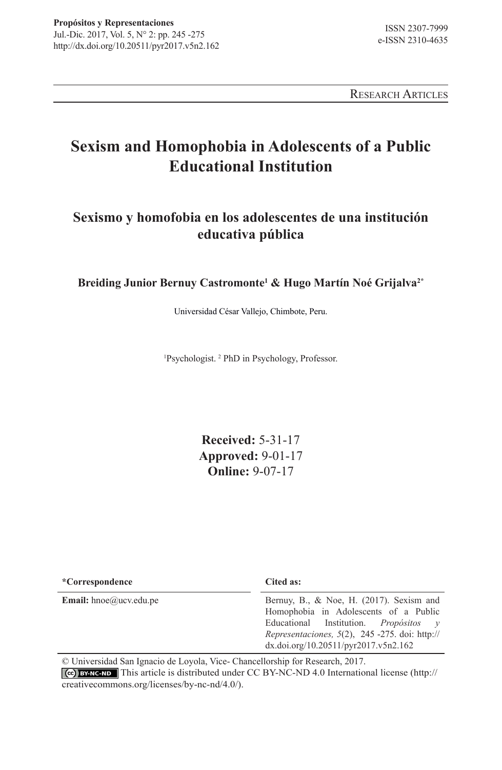Research Articles

# **Sexism and Homophobia in Adolescents of a Public Educational Institution**

# **Sexismo y homofobia en los adolescentes de una institución educativa pública**

**Breiding Junior Bernuy Castromonte1 & Hugo Martín Noé Grijalva2\***

Universidad César Vallejo, Chimbote, Peru.

1 Psychologist. 2 PhD in Psychology, Professor.

**Received:** 5-31-17 **Approved:** 9-01-17 **Online:** 9-07-17

| *Correspondence               | Cited as:                                                                                                                                                                                                                                  |  |
|-------------------------------|--------------------------------------------------------------------------------------------------------------------------------------------------------------------------------------------------------------------------------------------|--|
| <b>Email:</b> hnoe@ucv.edu.pe | Bernuy, B., & Noe, H. $(2017)$ . Sexism and<br>Homophobia in Adolescents of a Public<br>Educational Institution. <i>Propósitos</i> $v$<br>Representaciones, $5(2)$ , $245 - 275$ . doi: http://<br>$dx$ .doi.org/10.20511/pyr2017.v5n2.162 |  |

© Universidad San Ignacio de Loyola, Vice- Chancellorship for Research, 2017. This article is distributed under CC BY-NC-ND 4.0 International license (http:// creativecommons.org/licenses/by-nc-nd/4.0/).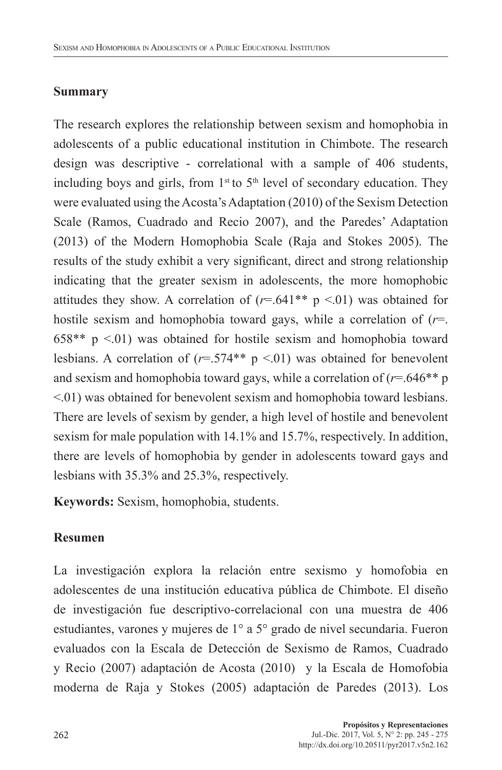#### **Summary**

The research explores the relationship between sexism and homophobia in adolescents of a public educational institution in Chimbote. The research design was descriptive - correlational with a sample of 406 students, including boys and girls, from  $1<sup>st</sup>$  to  $5<sup>th</sup>$  level of secondary education. They were evaluated using the Acosta's Adaptation (2010) of the Sexism Detection Scale (Ramos, Cuadrado and Recio 2007), and the Paredes' Adaptation (2013) of the Modern Homophobia Scale (Raja and Stokes 2005). The results of the study exhibit a very significant, direct and strong relationship indicating that the greater sexism in adolescents, the more homophobic attitudes they show. A correlation of  $(r=.641** p < .01)$  was obtained for hostile sexism and homophobia toward gays, while a correlation of (*r*=.  $658**$  p  $\leq 01$ ) was obtained for hostile sexism and homophobia toward lesbians. A correlation of  $(r=.574** p < .01)$  was obtained for benevolent and sexism and homophobia toward gays, while a correlation of  $(r=646**p)$ <.01) was obtained for benevolent sexism and homophobia toward lesbians. There are levels of sexism by gender, a high level of hostile and benevolent sexism for male population with 14.1% and 15.7%, respectively. In addition, there are levels of homophobia by gender in adolescents toward gays and lesbians with 35.3% and 25.3%, respectively.

**Keywords:** Sexism, homophobia, students.

### **Resumen**

La investigación explora la relación entre sexismo y homofobia en adolescentes de una institución educativa pública de Chimbote. El diseño de investigación fue descriptivo-correlacional con una muestra de 406 estudiantes, varones y mujeres de 1° a 5° grado de nivel secundaria. Fueron evaluados con la Escala de Detección de Sexismo de Ramos, Cuadrado y Recio (2007) adaptación de Acosta (2010) y la Escala de Homofobia moderna de Raja y Stokes (2005) adaptación de Paredes (2013). Los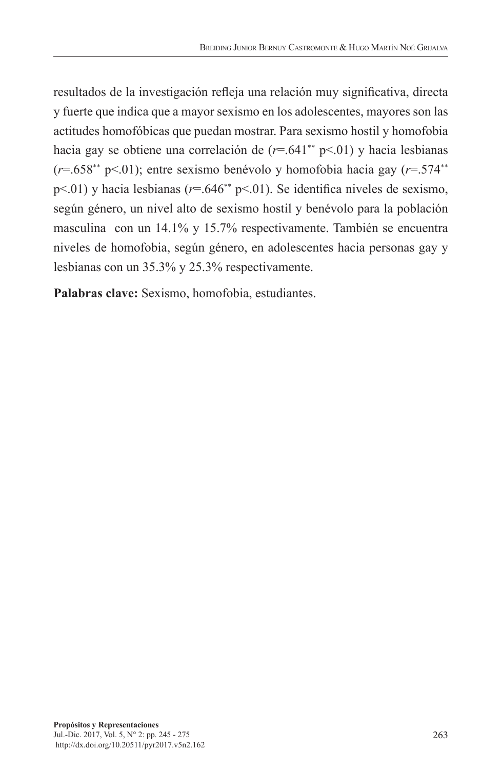resultados de la investigación refleja una relación muy significativa, directa y fuerte que indica que a mayor sexismo en los adolescentes, mayores son las actitudes homofóbicas que puedan mostrar. Para sexismo hostil y homofobia hacia gay se obtiene una correlación de  $(r=.641^{**} \text{ p} < .01)$  y hacia lesbianas  $(r=0.658^{**} \text{ pS} \cdot 0.01)$ ; entre sexismo benévolo y homofobia hacia gay  $(r=0.574^{**} \text{ pS} \cdot 0.01)$ p<.01) y hacia lesbianas (*r*=.646\*\* p<.01). Se identifica niveles de sexismo, según género, un nivel alto de sexismo hostil y benévolo para la población masculina con un 14.1% y 15.7% respectivamente. También se encuentra niveles de homofobia, según género, en adolescentes hacia personas gay y lesbianas con un 35.3% y 25.3% respectivamente.

**Palabras clave:** Sexismo, homofobia, estudiantes.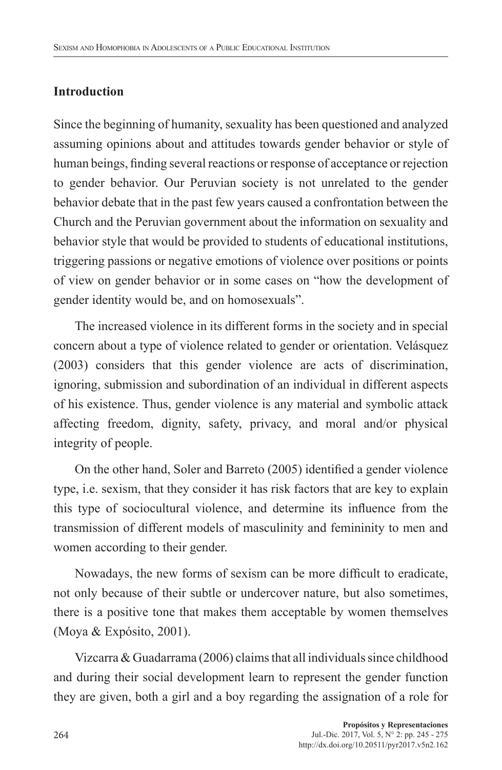# **Introduction**

Since the beginning of humanity, sexuality has been questioned and analyzed assuming opinions about and attitudes towards gender behavior or style of human beings, finding several reactions or response of acceptance or rejection to gender behavior. Our Peruvian society is not unrelated to the gender behavior debate that in the past few years caused a confrontation between the Church and the Peruvian government about the information on sexuality and behavior style that would be provided to students of educational institutions, triggering passions or negative emotions of violence over positions or points of view on gender behavior or in some cases on "how the development of gender identity would be, and on homosexuals".

The increased violence in its different forms in the society and in special concern about a type of violence related to gender or orientation. Velásquez (2003) considers that this gender violence are acts of discrimination, ignoring, submission and subordination of an individual in different aspects of his existence. Thus, gender violence is any material and symbolic attack affecting freedom, dignity, safety, privacy, and moral and/or physical integrity of people.

On the other hand, Soler and Barreto (2005) identified a gender violence type, i.e. sexism, that they consider it has risk factors that are key to explain this type of sociocultural violence, and determine its influence from the transmission of different models of masculinity and femininity to men and women according to their gender.

Nowadays, the new forms of sexism can be more difficult to eradicate, not only because of their subtle or undercover nature, but also sometimes, there is a positive tone that makes them acceptable by women themselves (Moya & Expósito, 2001).

Vizcarra & Guadarrama (2006) claims that all individuals since childhood and during their social development learn to represent the gender function they are given, both a girl and a boy regarding the assignation of a role for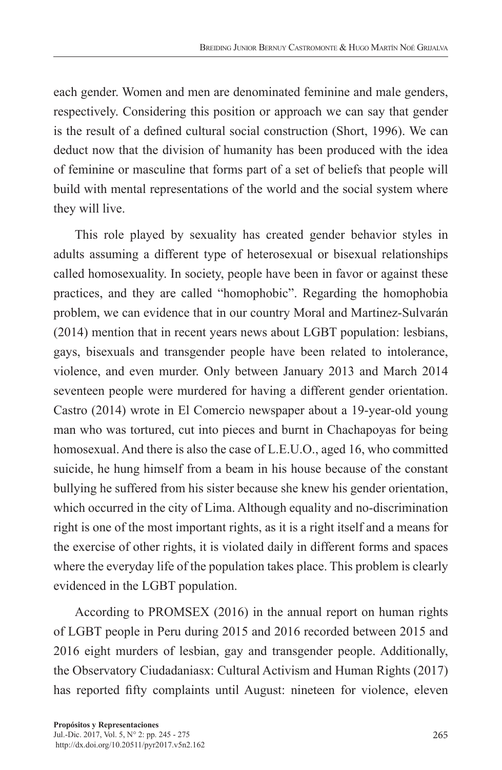each gender. Women and men are denominated feminine and male genders, respectively. Considering this position or approach we can say that gender is the result of a defined cultural social construction (Short, 1996). We can deduct now that the division of humanity has been produced with the idea of feminine or masculine that forms part of a set of beliefs that people will build with mental representations of the world and the social system where they will live.

This role played by sexuality has created gender behavior styles in adults assuming a different type of heterosexual or bisexual relationships called homosexuality. In society, people have been in favor or against these practices, and they are called "homophobic". Regarding the homophobia problem, we can evidence that in our country Moral and Martinez-Sulvarán (2014) mention that in recent years news about LGBT population: lesbians, gays, bisexuals and transgender people have been related to intolerance, violence, and even murder. Only between January 2013 and March 2014 seventeen people were murdered for having a different gender orientation. Castro (2014) wrote in El Comercio newspaper about a 19-year-old young man who was tortured, cut into pieces and burnt in Chachapoyas for being homosexual. And there is also the case of L.E.U.O., aged 16, who committed suicide, he hung himself from a beam in his house because of the constant bullying he suffered from his sister because she knew his gender orientation, which occurred in the city of Lima. Although equality and no-discrimination right is one of the most important rights, as it is a right itself and a means for the exercise of other rights, it is violated daily in different forms and spaces where the everyday life of the population takes place. This problem is clearly evidenced in the LGBT population.

According to PROMSEX (2016) in the annual report on human rights of LGBT people in Peru during 2015 and 2016 recorded between 2015 and 2016 eight murders of lesbian, gay and transgender people. Additionally, the Observatory Ciudadaniasx: Cultural Activism and Human Rights (2017) has reported fifty complaints until August: nineteen for violence, eleven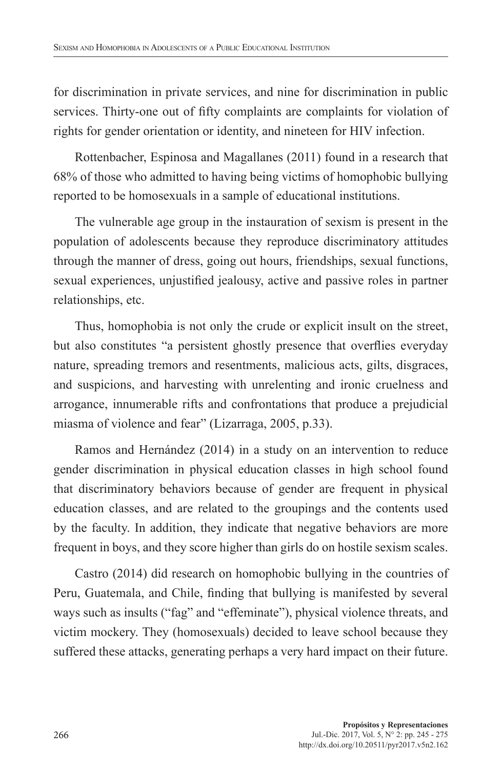for discrimination in private services, and nine for discrimination in public services. Thirty-one out of fifty complaints are complaints for violation of rights for gender orientation or identity, and nineteen for HIV infection.

Rottenbacher, Espinosa and Magallanes (2011) found in a research that 68% of those who admitted to having being victims of homophobic bullying reported to be homosexuals in a sample of educational institutions.

The vulnerable age group in the instauration of sexism is present in the population of adolescents because they reproduce discriminatory attitudes through the manner of dress, going out hours, friendships, sexual functions, sexual experiences, unjustified jealousy, active and passive roles in partner relationships, etc.

Thus, homophobia is not only the crude or explicit insult on the street, but also constitutes "a persistent ghostly presence that overflies everyday nature, spreading tremors and resentments, malicious acts, gilts, disgraces, and suspicions, and harvesting with unrelenting and ironic cruelness and arrogance, innumerable rifts and confrontations that produce a prejudicial miasma of violence and fear" (Lizarraga, 2005, p.33).

Ramos and Hernández (2014) in a study on an intervention to reduce gender discrimination in physical education classes in high school found that discriminatory behaviors because of gender are frequent in physical education classes, and are related to the groupings and the contents used by the faculty. In addition, they indicate that negative behaviors are more frequent in boys, and they score higher than girls do on hostile sexism scales.

Castro (2014) did research on homophobic bullying in the countries of Peru, Guatemala, and Chile, finding that bullying is manifested by several ways such as insults ("fag" and "effeminate"), physical violence threats, and victim mockery. They (homosexuals) decided to leave school because they suffered these attacks, generating perhaps a very hard impact on their future.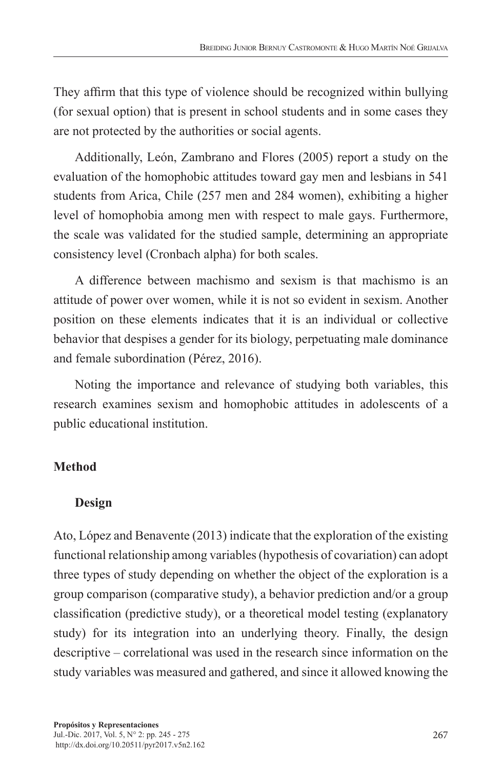They affirm that this type of violence should be recognized within bullying (for sexual option) that is present in school students and in some cases they are not protected by the authorities or social agents.

Additionally, León, Zambrano and Flores (2005) report a study on the evaluation of the homophobic attitudes toward gay men and lesbians in 541 students from Arica, Chile (257 men and 284 women), exhibiting a higher level of homophobia among men with respect to male gays. Furthermore, the scale was validated for the studied sample, determining an appropriate consistency level (Cronbach alpha) for both scales.

A difference between machismo and sexism is that machismo is an attitude of power over women, while it is not so evident in sexism. Another position on these elements indicates that it is an individual or collective behavior that despises a gender for its biology, perpetuating male dominance and female subordination (Pérez, 2016).

Noting the importance and relevance of studying both variables, this research examines sexism and homophobic attitudes in adolescents of a public educational institution.

# **Method**

## **Design**

Ato, López and Benavente (2013) indicate that the exploration of the existing functional relationship among variables (hypothesis of covariation) can adopt three types of study depending on whether the object of the exploration is a group comparison (comparative study), a behavior prediction and/or a group classification (predictive study), or a theoretical model testing (explanatory study) for its integration into an underlying theory. Finally, the design descriptive – correlational was used in the research since information on the study variables was measured and gathered, and since it allowed knowing the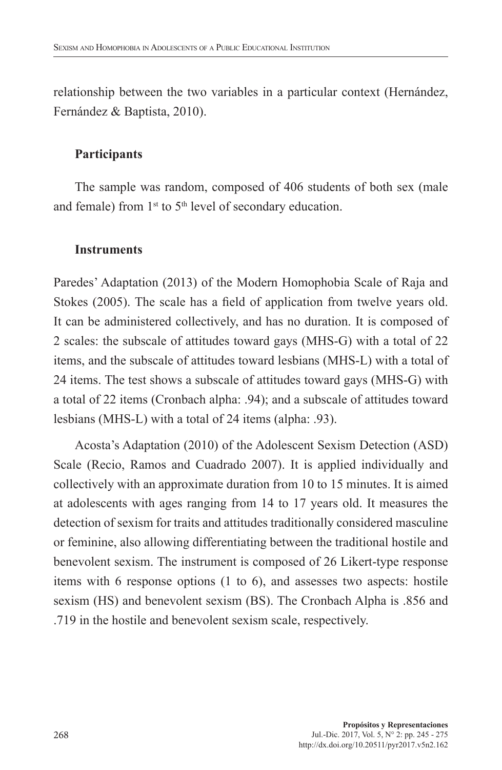relationship between the two variables in a particular context (Hernández, Fernández & Baptista, 2010).

#### **Participants**

The sample was random, composed of 406 students of both sex (male and female) from  $1<sup>st</sup>$  to  $5<sup>th</sup>$  level of secondary education.

#### **Instruments**

Paredes' Adaptation (2013) of the Modern Homophobia Scale of Raja and Stokes (2005). The scale has a field of application from twelve years old. It can be administered collectively, and has no duration. It is composed of 2 scales: the subscale of attitudes toward gays (MHS-G) with a total of 22 items, and the subscale of attitudes toward lesbians (MHS-L) with a total of 24 items. The test shows a subscale of attitudes toward gays (MHS-G) with a total of 22 items (Cronbach alpha: .94); and a subscale of attitudes toward lesbians (MHS-L) with a total of 24 items (alpha: .93).

Acosta's Adaptation (2010) of the Adolescent Sexism Detection (ASD) Scale (Recio, Ramos and Cuadrado 2007). It is applied individually and collectively with an approximate duration from 10 to 15 minutes. It is aimed at adolescents with ages ranging from 14 to 17 years old. It measures the detection of sexism for traits and attitudes traditionally considered masculine or feminine, also allowing differentiating between the traditional hostile and benevolent sexism. The instrument is composed of 26 Likert-type response items with 6 response options (1 to 6), and assesses two aspects: hostile sexism (HS) and benevolent sexism (BS). The Cronbach Alpha is .856 and .719 in the hostile and benevolent sexism scale, respectively.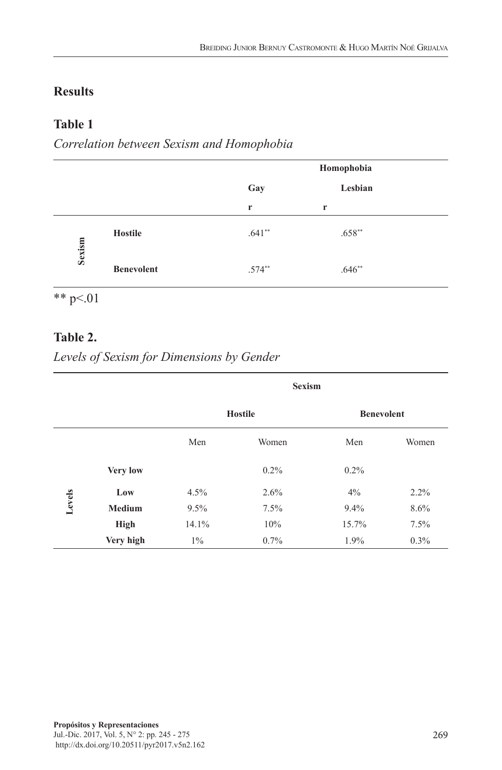### **Results**

### **Table 1**

*Correlation between Sexism and Homophobia*

|        |                   |          | Homophobia |  |
|--------|-------------------|----------|------------|--|
|        |                   | Gay      | Lesbian    |  |
|        |                   | r        | r          |  |
| Sexism | <b>Hostile</b>    | $.641**$ | $.658**$   |  |
|        | <b>Benevolent</b> | $.574**$ | $.646**$   |  |

\*\*  $p<01$ 

### **Table 2.**

*Levels of Sexism for Dimensions by Gender*

|        |                 | <b>Sexism</b>  |         |                   |         |
|--------|-----------------|----------------|---------|-------------------|---------|
|        |                 | <b>Hostile</b> |         | <b>Benevolent</b> |         |
|        |                 | Men            | Women   | Men               | Women   |
|        | <b>Very low</b> |                | $0.2\%$ | $0.2\%$           |         |
| Levels | Low             | 4.5%           | 2.6%    | 4%                | 2.2%    |
|        | <b>Medium</b>   | 9.5%           | 7.5%    | 9.4%              | 8.6%    |
|        | High            | 14.1%          | 10%     | 15.7%             | 7.5%    |
|        | Very high       | $1\%$          | $0.7\%$ | $1.9\%$           | $0.3\%$ |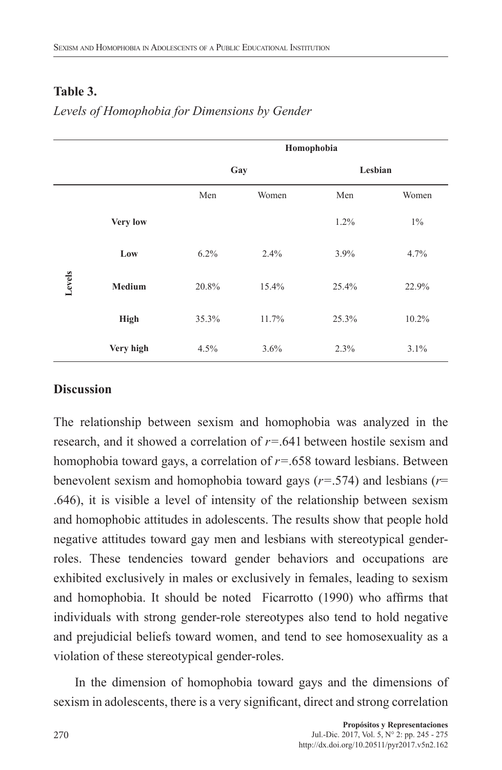### **Table 3.**

# *Levels of Homophobia for Dimensions by Gender*

|        |                 |       | Homophobia |       |         |  |
|--------|-----------------|-------|------------|-------|---------|--|
|        |                 |       | Gay        |       | Lesbian |  |
|        |                 | Men   | Women      | Men   | Women   |  |
| Levels | <b>Very low</b> |       |            | 1.2%  | $1\%$   |  |
|        | Low             | 6.2%  | 2.4%       | 3.9%  | 4.7%    |  |
|        | Medium          | 20.8% | 15.4%      | 25.4% | 22.9%   |  |
|        | <b>High</b>     | 35.3% | 11.7%      | 25.3% | 10.2%   |  |
|        | Very high       | 4.5%  | 3.6%       | 2.3%  | 3.1%    |  |

### **Discussion**

The relationship between sexism and homophobia was analyzed in the research, and it showed a correlation of *r=*.641 between hostile sexism and homophobia toward gays, a correlation of *r=*.658 toward lesbians. Between benevolent sexism and homophobia toward gays (*r=*.574) and lesbians (*r*= .646), it is visible a level of intensity of the relationship between sexism and homophobic attitudes in adolescents. The results show that people hold negative attitudes toward gay men and lesbians with stereotypical genderroles. These tendencies toward gender behaviors and occupations are exhibited exclusively in males or exclusively in females, leading to sexism and homophobia. It should be noted Ficarrotto (1990) who affirms that individuals with strong gender-role stereotypes also tend to hold negative and prejudicial beliefs toward women, and tend to see homosexuality as a violation of these stereotypical gender-roles.

In the dimension of homophobia toward gays and the dimensions of sexism in adolescents, there is a very significant, direct and strong correlation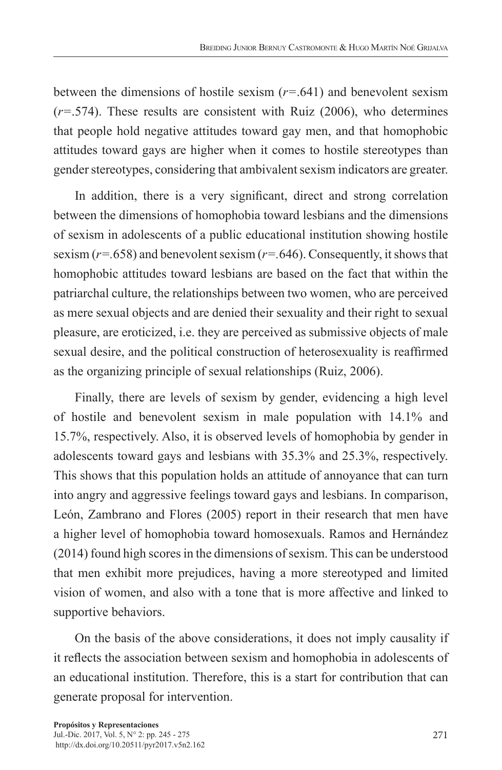between the dimensions of hostile sexism (*r=*.641) and benevolent sexism (*r=*.574). These results are consistent with Ruiz (2006), who determines that people hold negative attitudes toward gay men, and that homophobic attitudes toward gays are higher when it comes to hostile stereotypes than gender stereotypes, considering that ambivalent sexism indicators are greater.

In addition, there is a very significant, direct and strong correlation between the dimensions of homophobia toward lesbians and the dimensions of sexism in adolescents of a public educational institution showing hostile sexism (*r=.*658) and benevolent sexism (*r=.*646). Consequently, it shows that homophobic attitudes toward lesbians are based on the fact that within the patriarchal culture, the relationships between two women, who are perceived as mere sexual objects and are denied their sexuality and their right to sexual pleasure, are eroticized, i.e. they are perceived as submissive objects of male sexual desire, and the political construction of heterosexuality is reaffirmed as the organizing principle of sexual relationships (Ruiz, 2006).

Finally, there are levels of sexism by gender, evidencing a high level of hostile and benevolent sexism in male population with 14.1% and 15.7%, respectively. Also, it is observed levels of homophobia by gender in adolescents toward gays and lesbians with 35.3% and 25.3%, respectively. This shows that this population holds an attitude of annoyance that can turn into angry and aggressive feelings toward gays and lesbians. In comparison, León, Zambrano and Flores (2005) report in their research that men have a higher level of homophobia toward homosexuals. Ramos and Hernández (2014) found high scores in the dimensions of sexism. This can be understood that men exhibit more prejudices, having a more stereotyped and limited vision of women, and also with a tone that is more affective and linked to supportive behaviors.

On the basis of the above considerations, it does not imply causality if it reflects the association between sexism and homophobia in adolescents of an educational institution. Therefore, this is a start for contribution that can generate proposal for intervention.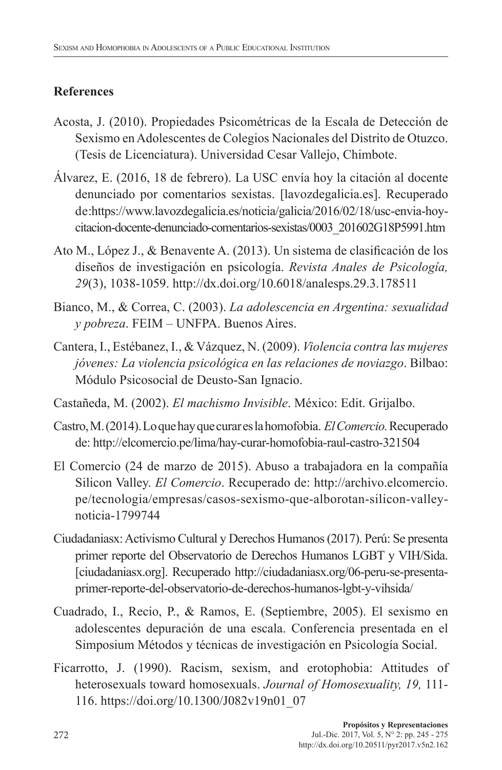# **References**

- Acosta, J. (2010). Propiedades Psicométricas de la Escala de Detección de Sexismo en Adolescentes de Colegios Nacionales del Distrito de Otuzco. (Tesis de Licenciatura). Universidad Cesar Vallejo, Chimbote.
- Álvarez, E. (2016, 18 de febrero). La USC envía hoy la citación al docente denunciado por comentarios sexistas. [lavozdegalicia.es]. Recuperado de:https://www.lavozdegalicia.es/noticia/galicia/2016/02/18/usc-envia-hoycitacion-docente-denunciado-comentarios-sexistas/0003\_201602G18P5991.htm
- Ato M., López J., & Benavente A. (2013). Un sistema de clasificación de los diseños de investigación en psicología. *Revista Anales de Psicología, 29*(3), 1038-1059. http://dx.doi.org/10.6018/analesps.29.3.178511
- Bianco, M., & Correa, C. (2003). *La adolescencia en Argentina: sexualidad y pobreza*. FEIM – UNFPA. Buenos Aires.
- Cantera, I., Estébanez, I., & Vázquez, N. (2009). *Violencia contra las mujeres jóvenes: La violencia psicológica en las relaciones de noviazgo*. Bilbao: Módulo Psicosocial de Deusto-San Ignacio.
- Castañeda, M. (2002). *El machismo Invisible*. México: Edit. Grijalbo.
- Castro, M. (2014). Lo que hay que curar es la homofobia. *El Comercio.* Recuperado de: http://elcomercio.pe/lima/hay-curar-homofobia-raul-castro-321504
- El Comercio (24 de marzo de 2015). Abuso a trabajadora en la compañía Silicon Valley. *El Comercio*. Recuperado de: http://archivo.elcomercio. pe/tecnologia/empresas/casos-sexismo-que-alborotan-silicon-valleynoticia-1799744
- Ciudadaniasx: Activismo Cultural y Derechos Humanos (2017). Perú: Se presenta primer reporte del Observatorio de Derechos Humanos LGBT y VIH/Sida. [ciudadaniasx.org]. Recuperado http://ciudadaniasx.org/06-peru-se-presentaprimer-reporte-del-observatorio-de-derechos-humanos-lgbt-y-vihsida/
- Cuadrado, I., Recio, P., & Ramos, E. (Septiembre, 2005). El sexismo en adolescentes depuración de una escala. Conferencia presentada en el Simposium Métodos y técnicas de investigación en Psicología Social.
- Ficarrotto, J. (1990). Racism, sexism, and erotophobia: Attitudes of heterosexuals toward homosexuals. *Journal of Homosexuality, 19,* 111- 116. https://doi.org/10.1300/J082v19n01\_07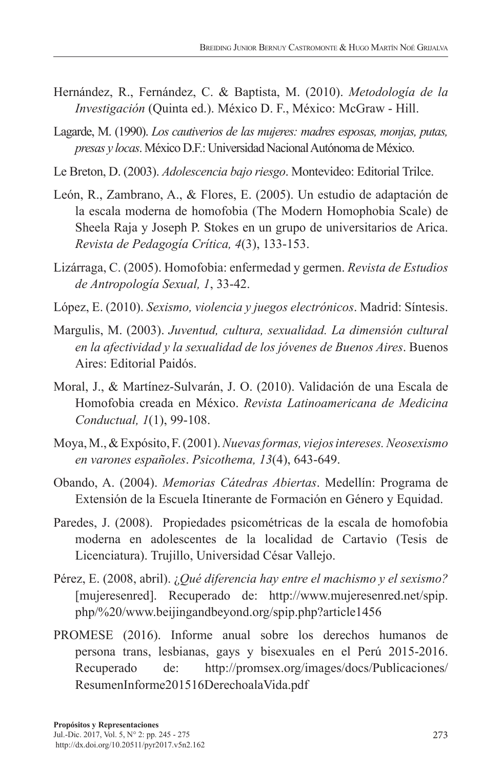- Hernández, R., Fernández, C. & Baptista, M. (2010). *Metodología de la Investigación* (Quinta ed.). México D. F., México: McGraw - Hill.
- Lagarde, M. (1990). *Los cautiverios de las mujeres: madres esposas, monjas, putas, presas y locas*. México D.F.: Universidad Nacional Autónoma de México.
- Le Breton, D. (2003). *Adolescencia bajo riesgo*. Montevideo: Editorial Trilce.
- León, R., Zambrano, A., & Flores, E. (2005). Un estudio de adaptación de la escala moderna de homofobia (The Modern Homophobia Scale) de Sheela Raja y Joseph P. Stokes en un grupo de universitarios de Arica. *Revista de Pedagogía Crítica, 4*(3), 133-153.
- Lizárraga, C. (2005). Homofobia: enfermedad y germen. *Revista de Estudios de Antropología Sexual, 1*, 33-42.
- López, E. (2010). *Sexismo, violencia y juegos electrónicos*. Madrid: Síntesis.
- Margulis, M. (2003). *Juventud, cultura, sexualidad. La dimensión cultural en la afectividad y la sexualidad de los jóvenes de Buenos Aires*. Buenos Aires: Editorial Paidós.
- Moral, J., & Martínez-Sulvarán, J. O. (2010). Validación de una Escala de Homofobia creada en México. *Revista Latinoamericana de Medicina Conductual, 1*(1), 99-108.
- Moya, M., & Expósito, F. (2001). *Nuevas formas, viejos intereses. Neosexismo en varones españoles*. *Psicothema, 13*(4), 643-649.
- Obando, A. (2004). *Memorias Cátedras Abiertas*. Medellín: Programa de Extensión de la Escuela Itinerante de Formación en Género y Equidad.
- Paredes, J. (2008). Propiedades psicométricas de la escala de homofobia moderna en adolescentes de la localidad de Cartavio (Tesis de Licenciatura). Trujillo, Universidad César Vallejo.
- Pérez, E. (2008, abril). ¿*Qué diferencia hay entre el machismo y el sexismo?* [mujeresenred]. Recuperado de: http://www.mujeresenred.net/spip. php/%20/www.beijingandbeyond.org/spip.php?article1456
- PROMESE (2016). Informe anual sobre los derechos humanos de persona trans, lesbianas, gays y bisexuales en el Perú 2015-2016. Recuperado de: http://promsex.org/images/docs/Publicaciones/ ResumenInforme201516DerechoalaVida.pdf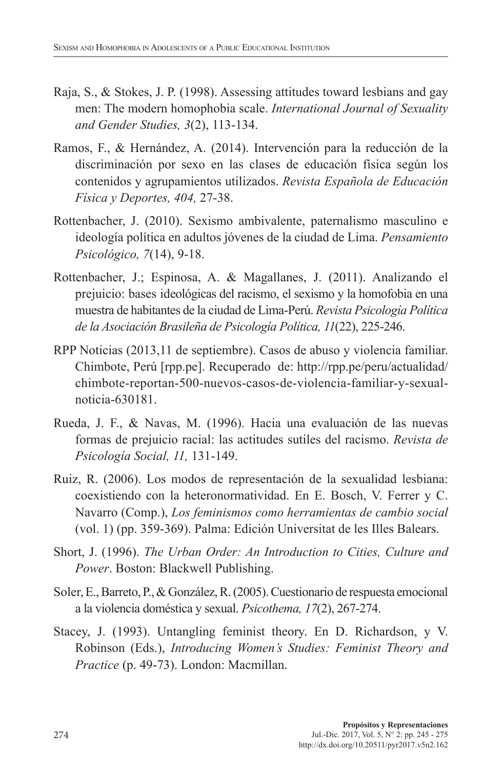- Raja, S., & Stokes, J. P. (1998). Assessing attitudes toward lesbians and gay men: The modern homophobia scale. *International Journal of Sexuality and Gender Studies, 3*(2), 113-134.
- Ramos, F., & Hernández, A. (2014). Intervención para la reducción de la discriminación por sexo en las clases de educación física según los contenidos y agrupamientos utilizados. *Revista Española de Educación Física y Deportes, 404,* 27-38.
- Rottenbacher, J. (2010). Sexismo ambivalente, paternalismo masculino e ideología política en adultos jóvenes de la ciudad de Lima. *Pensamiento Psicológico, 7*(14), 9-18.
- Rottenbacher, J.; Espinosa, A. & Magallanes, J. (2011). Analizando el prejuicio: bases ideológicas del racismo, el sexismo y la homofobia en una muestra de habitantes de la ciudad de Lima-Perú. *Revista Psicología Política de la Asociación Brasileña de Psicología Política, 11*(22), 225-246.
- RPP Noticias (2013,11 de septiembre). Casos de abuso y violencia familiar. Chimbote, Perú [rpp.pe]. Recuperado de: http://rpp.pe/peru/actualidad/ chimbote-reportan-500-nuevos-casos-de-violencia-familiar-y-sexualnoticia-630181.
- Rueda, J. F., & Navas, M. (1996). Hacia una evaluación de las nuevas formas de prejuicio racial: las actitudes sutiles del racismo. *Revista de Psicología Social, 11,* 131-149.
- Ruiz, R. (2006). Los modos de representación de la sexualidad lesbiana: coexistiendo con la heteronormatividad. En E. Bosch, V. Ferrer y C. Navarro (Comp.), *Los feminismos como herramientas de cambio social*  (vol. 1) (pp. 359-369). Palma: Edición Universitat de les Illes Balears.
- Short, J. (1996). *The Urban Order: An Introduction to Cities, Culture and Power*. Boston: Blackwell Publishing.
- Soler, E., Barreto, P., & González, R. (2005). Cuestionario de respuesta emocional a la violencia doméstica y sexual. *Psicothema, 17*(2), 267-274.
- Stacey, J. (1993). Untangling feminist theory. En D. Richardson, y V. Robinson (Eds.), *Introducing Women's Studies: Feminist Theory and Practice* (p. 49-73). London: Macmillan.